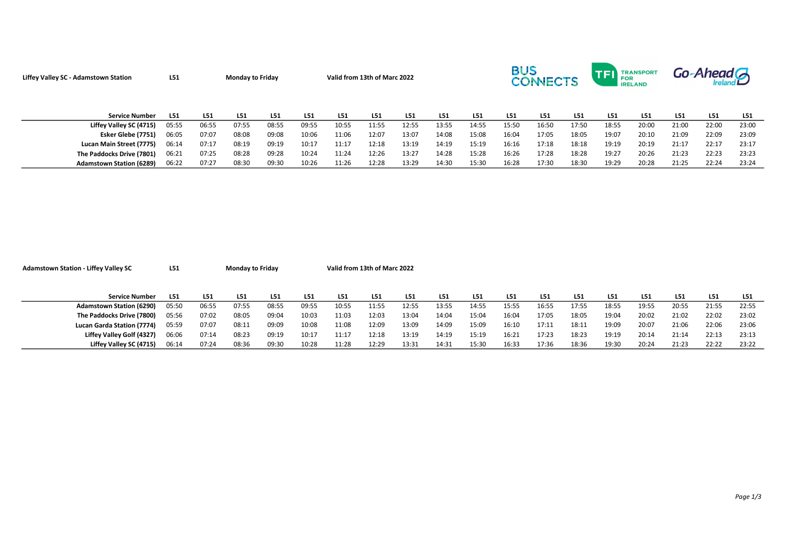| Liffey Valley SC - Adamstown Station | L <sub>51</sub> |       | <b>Monday to Friday</b> |       |       | Valid from 13th of Marc 2022 |       |       |       |       | <b>BUS</b><br><b>CONNECTS</b> |       |       |       | <b>TRANSPORT</b><br>FOR<br><b>IRELAND</b> | Go-Ahead G |       |       |  |
|--------------------------------------|-----------------|-------|-------------------------|-------|-------|------------------------------|-------|-------|-------|-------|-------------------------------|-------|-------|-------|-------------------------------------------|------------|-------|-------|--|
| <b>Service Number</b>                | L51             | L51   | L51                     | L51   | L51   | L <sub>51</sub>              | L51   | L51   | L51   | L51   | L51                           | L51   | L51   | L51   | L51                                       | L51        | L51   | L51   |  |
| Liffey Valley SC (4715)              | 05:55           | 06:55 | 07:55                   | 08:55 | 09:55 | 10:55                        | 11:55 | 12:55 | 13:55 | 14:55 | 15:50                         | 16:50 | 17:50 | 18:55 | 20:00                                     | 21:00      | 22:00 | 23:00 |  |
| Esker Glebe (7751)                   | 06:05           | 07:07 | 08:08                   | 09:08 | 10:06 | 11:06                        | 12:07 | 13:07 | 14:08 | 15:08 | 16:04                         | 17:05 | 18:05 | 19:07 | 20:10                                     | 21:09      | 22:09 | 23:09 |  |
| Lucan Main Street (7775)             | 06:14           | 07:17 | 08:19                   | 09:19 | 10:17 | 11:17                        | 12:18 | 13:19 | 14:19 | 15:19 | 16:16                         | 17:18 | 18:18 | 19:19 | 20:19                                     | 21:17      | 22:17 | 23:17 |  |
| The Paddocks Drive (7801)            | 06:21           | 07:25 | 08:28                   | 09:28 | 10:24 | 11:24                        | 12:26 | 13:27 | 14:28 | 15:28 | 16:26                         | 17:28 | 18:28 | 19:27 | 20:26                                     | 21:23      | 22:23 | 23:23 |  |
| <b>Adamstown Station (6289)</b>      | 06:22           | 07:27 | 08:30                   | 09:30 | 10:26 | 11:26                        | 12:28 | 13:29 | 14:30 | 15:30 | 16:28                         | 17:30 | 18:30 | 19:29 | 20:28                                     | 21:25      | 22:24 | 23:24 |  |

| <b>Adamstown Station - Liffey Valley SC</b> | L51   | <b>Monday to Friday</b> |                 |       |       | Valid from 13th of Marc 2022 |       |       |       |       |       |       |       |       |       |       |       |       |
|---------------------------------------------|-------|-------------------------|-----------------|-------|-------|------------------------------|-------|-------|-------|-------|-------|-------|-------|-------|-------|-------|-------|-------|
|                                             |       |                         |                 |       |       |                              |       |       |       |       |       |       |       |       |       |       |       |       |
|                                             |       |                         |                 |       |       |                              |       |       |       |       |       |       |       |       |       |       |       |       |
| <b>Service Number</b>                       | L51   | L51                     | L <sub>51</sub> | L51   | L51   | L51                          | L51   | L51   | L51   | L51   | L51   | L51   | L51   | L51   | L51   | L51   | L51   | L51   |
| <b>Adamstown Station (6290)</b>             | 05:50 | 06:55                   | 07:55           | 08:55 | 09:55 | 10:55                        | 11:55 | 12:55 | 13:55 | 14:55 | 15:55 | 16:55 | 17:55 | 18:55 | 19:55 | 20:55 | 21:55 | 22:55 |
| The Paddocks Drive (7800)                   | 05:56 | 07:02                   | 08:05           | 09:04 | 10:03 | 11:03                        | 12:03 | 13:04 | 14:04 | 15:04 | 16:04 | 17:05 | 18:05 | 19:04 | 20:02 | 21:02 | 22:02 | 23:02 |
| Lucan Garda Station (7774)                  | 05:59 | 07:07                   | 08:11           | 09:09 | 10:08 | 11:08                        | 12:09 | 13:09 | 14:09 | 15:09 | 16:10 | 17:11 | 18:11 | 19:09 | 20:07 | 21:06 | 22:06 | 23:06 |
| Liffey Valley Golf (4327)                   | 06:06 | 07:14                   | 08:23           | 09:19 | 10:17 | 11:17                        | 12:18 | 13:19 | 14:19 | 15:19 | 16:21 | 17:23 | 18:23 | 19:19 | 20:14 | 21:14 | 22:13 | 23:13 |
| Liffey Valley SC (4715)                     | 06:14 | 07:24                   | 08:36           | 09:30 | 10:28 | 11:28                        | 12:29 | 13:31 | 14:31 | 15:30 | 16:33 | 17:36 | 18:36 | 19:30 | 20:24 | 21:23 | 22:22 | 23:22 |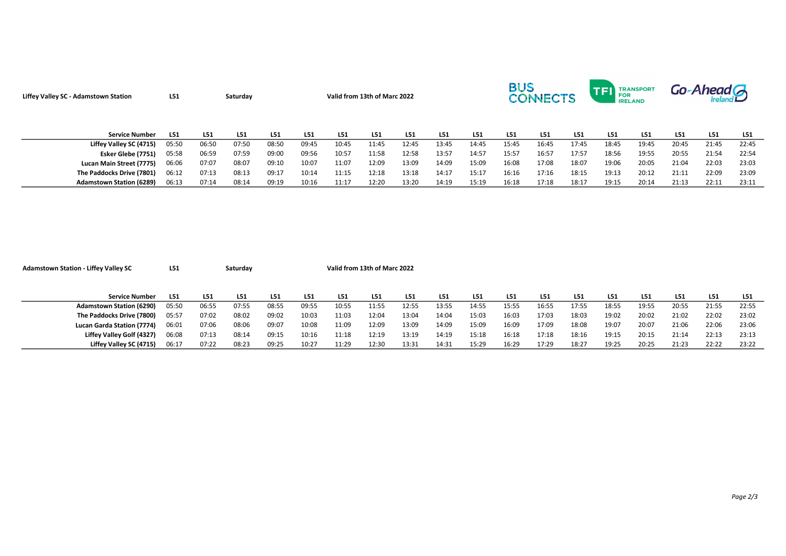| <b>Liffey Valley SC - Adamstown Station</b> | L <sub>51</sub> | Saturday |       |       | Valid from 13th of Marc 2022 |       |       |       |       |       | <b>BUS</b> | <b>CONNECTS</b> |       | TFI<br>l FOR | <b>TRANSPORT</b><br><b>IRELAND</b> | Go-Ahead G |       |       |
|---------------------------------------------|-----------------|----------|-------|-------|------------------------------|-------|-------|-------|-------|-------|------------|-----------------|-------|--------------|------------------------------------|------------|-------|-------|
| <b>Service Number</b>                       | L51             | L51      | L51   | L51   | L51                          | L51   | L51   | L51   | L51   | L51   | L51        | L51             | L51   | L51          | L <sub>51</sub>                    | L51        | L51   | L51   |
| Liffey Valley SC (4715)                     | 05:50           | 06:50    | 07:50 | 08:50 | 09:45                        | 10:45 | 11:45 | 12:45 | 13:45 | 14:45 | 15:45      | 16:45           | 17:45 | 18:45        | 19:45                              | 20:45      | 21:45 | 22:45 |
| Esker Glebe (7751)                          | 05:58           | 06:59    | 07:59 | 09:00 | 09:56                        | 10:57 | 11:58 | 12:58 | 13:57 | 14:57 | 15:57      | 16:57           | 17:57 | 18:56        | 19:55                              | 20:55      | 21:54 | 22:54 |
| Lucan Main Street (7775)                    | 06:06           | 07:07    | 08:07 | 09:10 | 10:07                        | 11:07 | 12:09 | 13:09 | 14:09 | 15:09 | 16:08      | 17:08           | 18:07 | 19:06        | 20:05                              | 21:04      | 22:03 | 23:03 |
| The Paddocks Drive (7801)                   | 06:12           | 07:13    | 08:13 | 09:17 | 10:14                        | 11:15 | 12:18 | 13:18 | 14:17 | 15:17 | 16:16      | 17:16           | 18:15 | 19:13        | 20:12                              | 21:11      | 22:09 | 23:09 |
| <b>Adamstown Station (6289)</b>             | 06:13           | 07:14    | 08:14 | 09:19 | 10:16                        | 11:17 | 12:20 | 13:20 | 14:19 | 15:19 | 16:18      | 17:18           | 18:17 | 19:15        | 20:14                              | 21:13      | 22:11 | 23:11 |

| <b>Adamstown Station - Liffey Valley SC</b> | L51   | Saturday |       |       |       | Valid from 13th of Marc 2022 |       |       |       |       |       |       |       |       |       |       |       |       |
|---------------------------------------------|-------|----------|-------|-------|-------|------------------------------|-------|-------|-------|-------|-------|-------|-------|-------|-------|-------|-------|-------|
|                                             |       |          |       |       |       |                              |       |       |       |       |       |       |       |       |       |       |       |       |
|                                             |       |          |       |       |       |                              |       |       |       |       |       |       |       |       |       |       |       |       |
| Service Number                              | L51   | L51      | L51   | L51   | L51   | L51                          | L51   | L51   | L51   | L51   | L51   | L51   | L51   | L51   | L51   | L51   | L51   | L51   |
| <b>Adamstown Station (6290)</b>             | 05:50 | 06:55    | 07:55 | 08:55 | 09:55 | 10:55                        | 11:55 | 12:55 | 13:55 | 14:55 | 15:55 | 16:55 | 17:55 | 18:55 | 19:55 | 20:55 | 21:55 | 22:55 |
| The Paddocks Drive (7800)                   | 05:57 | 07:02    | 08:02 | 09:02 | 10:03 | 11:03                        | 12:04 | 13:04 | 14:04 | 15:03 | 16:03 | 17:03 | 18:03 | 19:02 | 20:02 | 21:02 | 22:02 | 23:02 |
| Lucan Garda Station (7774)                  | 06:01 | 07:06    | 08:06 | 09:07 | 10:08 | 11:09                        | 12:09 | 13:09 | 14:09 | 15:09 | 16:09 | 17:09 | 18:08 | 19:07 | 20:07 | 21:06 | 22:06 | 23:06 |
| Liffey Valley Golf (4327)                   | 06:08 | 07:13    | 08:14 | 09:15 | 10:16 | 11:18                        | 12:19 | 13:19 | 14:19 | 15:18 | 16:18 | 17:18 | 18:16 | 19:15 | 20:15 | 21:14 | 22:13 | 23:13 |
| Liffey Valley SC (4715)                     | 06:17 | 07:22    | 08:23 | 09:25 | 10:27 | 11:29                        | 12:30 | 13:31 | 14:31 | 15:29 | 16:29 | 17:29 | 18:27 | 19:25 | 20:25 | 21:23 | 22:22 | 23:22 |